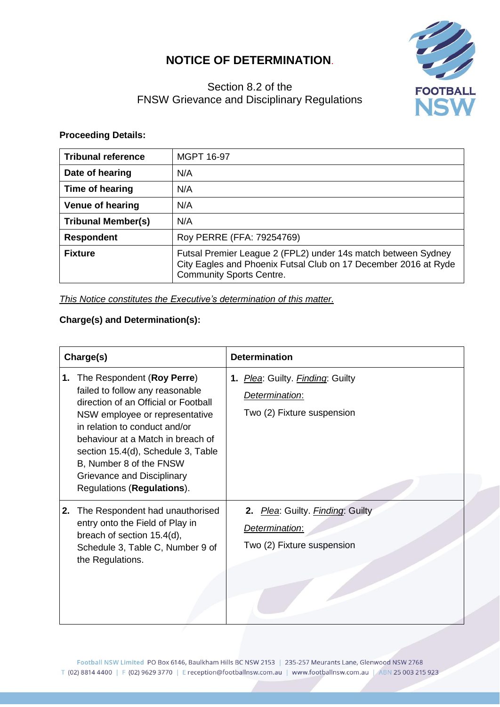## **NOTICE OF DETERMINATION**.



## Section 8.2 of the FNSW Grievance and Disciplinary Regulations

## **Proceeding Details:**

| <b>Tribunal reference</b> | <b>MGPT 16-97</b>                                                                                                                                                   |  |
|---------------------------|---------------------------------------------------------------------------------------------------------------------------------------------------------------------|--|
| Date of hearing           | N/A                                                                                                                                                                 |  |
| Time of hearing           | N/A                                                                                                                                                                 |  |
| <b>Venue of hearing</b>   | N/A                                                                                                                                                                 |  |
| <b>Tribunal Member(s)</b> | N/A                                                                                                                                                                 |  |
| <b>Respondent</b>         | Roy PERRE (FFA: 79254769)                                                                                                                                           |  |
| <b>Fixture</b>            | Futsal Premier League 2 (FPL2) under 14s match between Sydney<br>City Eagles and Phoenix Futsal Club on 17 December 2016 at Ryde<br><b>Community Sports Centre.</b> |  |

*This Notice constitutes the Executive's determination of this matter.*

## **Charge(s) and Determination(s):**

| Charge(s) |                                                                                                                                                                                                                                                                                                                                            | <b>Determination</b>                                                             |
|-----------|--------------------------------------------------------------------------------------------------------------------------------------------------------------------------------------------------------------------------------------------------------------------------------------------------------------------------------------------|----------------------------------------------------------------------------------|
| 1.        | The Respondent (Roy Perre)<br>failed to follow any reasonable<br>direction of an Official or Football<br>NSW employee or representative<br>in relation to conduct and/or<br>behaviour at a Match in breach of<br>section 15.4(d), Schedule 3, Table<br>B, Number 8 of the FNSW<br>Grievance and Disciplinary<br>Regulations (Regulations). | 1. Plea: Guilty. Finding: Guilty<br>Determination:<br>Two (2) Fixture suspension |
| 2.        | The Respondent had unauthorised<br>entry onto the Field of Play in<br>breach of section 15.4(d),<br>Schedule 3, Table C, Number 9 of<br>the Regulations.                                                                                                                                                                                   | 2. Plea: Guilty. Finding: Guilty<br>Determination:<br>Two (2) Fixture suspension |